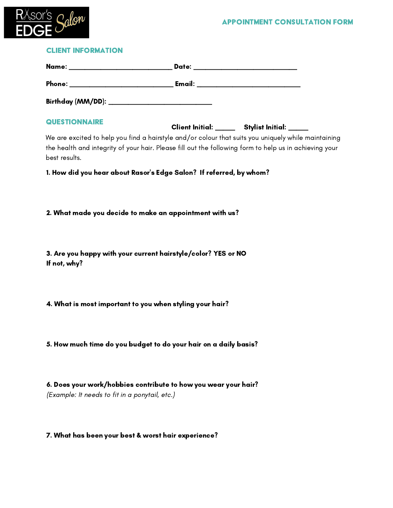# APPOINTMENT CONSULTATION FORM



### client information

| <b>QUESTIONNAIRE</b>                                                                                                                                                                                                           | Client Initial: ______ Stylist Initial: ____ |  |
|--------------------------------------------------------------------------------------------------------------------------------------------------------------------------------------------------------------------------------|----------------------------------------------|--|
| We are excited to help you find a hairstyle and/or colour that suits you uniquely while maintaining<br>the health and integrity of your hair. Please fill out the following form to help us in achieving your<br>best results. |                                              |  |
| 1. How did you hear about Rasor's Edge Salon? If referred, by whom?                                                                                                                                                            |                                              |  |
|                                                                                                                                                                                                                                |                                              |  |
| 2. What made you decide to make an appointment with us?                                                                                                                                                                        |                                              |  |
|                                                                                                                                                                                                                                |                                              |  |
| 3. Are you happy with your current hairstyle/color? YES or NO<br>If not, why?                                                                                                                                                  |                                              |  |
| 4. What is most important to you when styling your hair?                                                                                                                                                                       |                                              |  |
|                                                                                                                                                                                                                                |                                              |  |
| 5. How much time do you budget to do your hair on a daily basis?                                                                                                                                                               |                                              |  |
|                                                                                                                                                                                                                                |                                              |  |
| 6. Does your work/hobbies contribute to how you wear your hair?<br>(Example: It needs to fit in a ponytail, etc.)                                                                                                              |                                              |  |
|                                                                                                                                                                                                                                |                                              |  |

# 7. What has been your best & worst hair experience?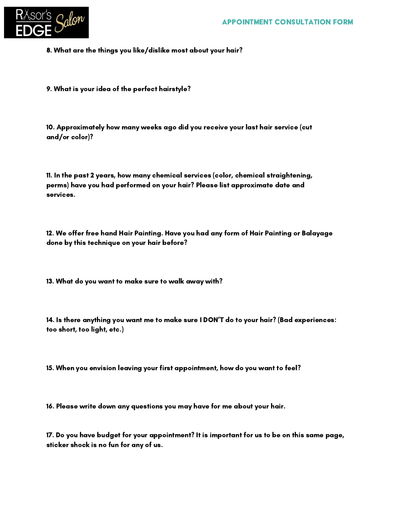

- 8. What are the things you like/dislike most about your hair?
- 9. What is your idea of the perfect hairstyle?

10. Approximately how many weeks ago did you receive your last hair service (cut and/or color)?

11. In the past 2 years, how many chemical services (color, chemical straightening, perms) have you had performed on your hair? Please list approximate date and services.

12. We offer free hand Hair Painting. Have you had any form of Hair Painting or Balayage done by this technique on your hair before?

13. What do you want to make sure to walk away with?

14. Is there anything you want me to make sure I DON'T do to your hair? (Bad experiences: too short, too light, etc.)

15. When you envision leaving your first appointment, how do you want to feel?

16. Please write down any questions you may have for me about your hair.

17. Do you have budget for your appointment? It is important for us to be on this same page, sticker shock is no fun for any of us.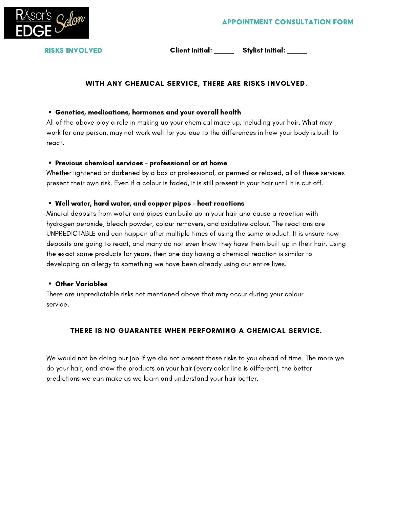

RISKS INVOLVED

Client Initial: \_\_\_\_\_ Stylist Initial: \_\_\_\_\_

# WITH ANY CHEMICAL SERVICE, THERE ARE RISKS INVOLVED.

### Genetics, medications, hormones and your overall health

All of the above play a role in making up your chemical make up, including your hair. What may work for one person, may not work well for you due to the differences in how your body is built to react.

#### Previous chemical services – professional or at home

Whether lightened or darkened by a box or professional, or permed or relaxed, all of these services present their own risk. Even if a colour is faded, it is still present in your hair until it is cut off.

### Well water, hard water, and copper pipes – heat reactions

Mineral deposits from water and pipes can build up in your hair and cause a reaction with hydrogen peroxide, bleach powder, colour removers, and oxidative colour. The reactions are UNPREDICTABLE and can happen after multiple times of using the same product. It is unsure how deposits are going to react, and many do not even know they have them built up in their hair. Using the exact same products for years, then one day having a chemical reaction is similar to developing an allergy to something we have been already using our entire lives.

#### Other Variables

There are unpredictable risks not mentioned above that may occur during your colour service.

# THERE IS NO GUARANTEE WHEN PERFORMING A CHEMICAL SERVICE.

We would not be doing our job if we did not present these risks to you ahead of time. The more we do your hair, and know the products on your hair (every color line is different), the better predictions we can make as we learn and understand your hair better.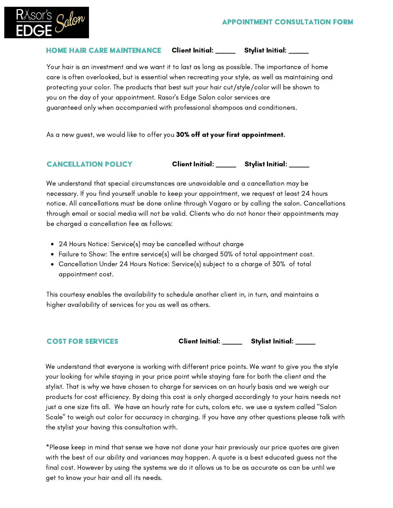

#### HOME HAIR CARE MAINTENANCE Client Initial: \_\_\_\_\_ Stylist Initial: \_\_\_\_\_

Your hair is an investment and we want it to last as long as possible. The importance of home care is often overlooked, but is essential when recreating your style, as well as maintaining and protecting your color. The products that best suit your hair cut/style/color will be shown to you on the day of your appointment. Rasor's Edge Salon color services are guaranteed only when accompanied with professional shampoos and conditioners.

As a new guest, we would like to offer you 30% off at your first appointment.

#### cancellation policy

Client Initial: \_\_\_\_\_\_ Stylist Initial: \_\_\_\_

We understand that special circumstances are unavoidable and a cancellation may be necessary. If you find yourself unable to keep your appointment, we request at least 24 hours notice. All cancellations must be done online through Vagaro or by calling the salon. Cancellations through email or social media will not be valid. Clients who do not honor their appointments may be charged a cancellation fee as follows:

- 24 Hours Notice: Service(s) may be cancelled without charge
- Failure to Show: The entire service(s) will be charged 50% of total appointment cost.
- Cancellation Under 24 Hours Notice: Service(s) subject to a charge of 30% of total appointment cost.

This courtesy enables the availability to schedule another client in, in turn, and maintains a higher availability of services for you as well as others.

# **COST FOR SERVICES**

| <b>Client Initial:</b> | <b>Stylist Initial:</b> |
|------------------------|-------------------------|
|------------------------|-------------------------|

We understand that everyone is working with different price points. We want to give you the style your looking for while staying in your price point while staying fare for both the client and the stylist. That is why we have chosen to charge for services on an hourly basis and we weigh our products for cost efficiency. By doing this cost is only charged accordingly to your hairs needs not just a one size fits all. We have an hourly rate for cuts, colors etc. we use a system called "Salon Scale" to weigh out color for accuracy in charging. If you have any other questions please talk with the stylist your having this consultation with.

\*Please keep in mind that sense we have not done your hair previously our price quotes are given with the best of our ability and variances may happen. A quote is a best educated guess not the final cost. However by using the systems we do it allows us to be as accurate as can be until we get to know your hair and all its needs.